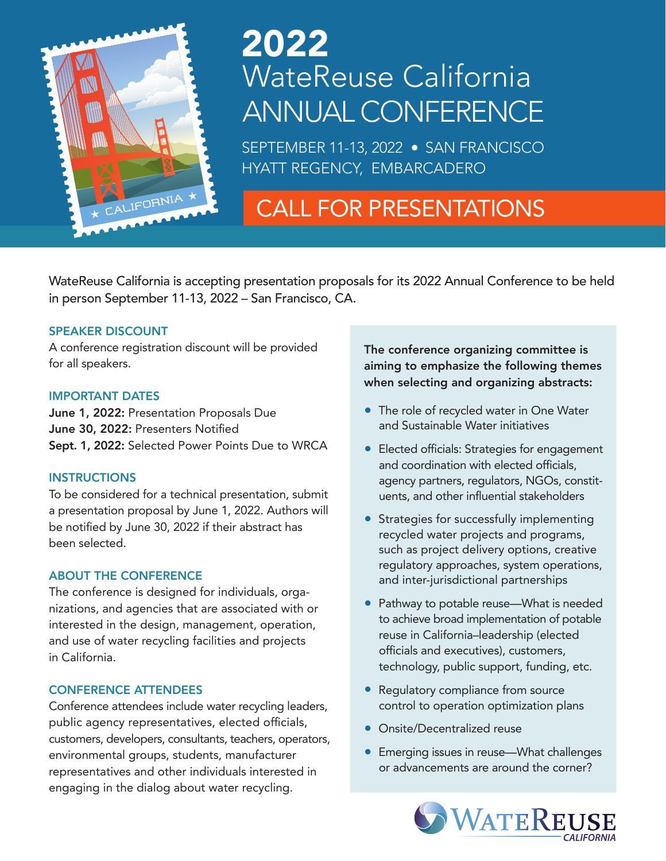

# WateReuse California ANNUAL CONFERENCE 2022

SEPTEMBER 11-13, 2022 · SAN FRANCISCO HYATT REGENCY, EMBARCADERO

## CALL FOR PRESENTATIONS

WateReuse California is accepting presentation proposals for its 2022 Annual Conference to be held in person September 11-13, 2022 – San Francisco, CA.

#### SPEAKER DISCOUNT

A conference registration discount will be provided for all speakers.

#### IMPORTANT DATES

June 1, 2022: Presentation Proposals Due June 30, 2022: Presenters Notified Sept. 1, 2022: Selected Power Points Due to WRCA

#### **INSTRUCTIONS**

To be considered for a technical presentation, submit a presentation proposal by June 1, 2022. Authors will be notified by June 30, 2022 if their abstract has been selected.

#### ABOUT THE CONFERENCE

The conference is designed for individuals, organizations, and agencies that are associated with or interested in the design, management, operation, and use of water recycling facilities and projects in California.

#### CONFERENCE ATTENDEES

Conference attendees include water recycling leaders, public agency representatives, elected officials, customers, developers, consultants, teachers, operators, environmental groups, students, manufacturer representatives and other individuals interested in engaging in the dialog about water recycling.

The conference organizing committee is aiming to emphasize the following themes when selecting and organizing abstracts:

- The role of recycled water in One Water and Sustainable Water initiatives
- Elected officials: Strategies for engagement and coordination with elected officials, agency partners, regulators, NGOs, constituents, and other influential stakeholders
- Strategies for successfully implementing recycled water projects and programs, such as project delivery options, creative regulatory approaches, system operations, and inter-jurisdictional partnerships
- Pathway to potable reuse—What is needed to achieve broad implementation of potable reuse in California–leadership (elected officials and executives), customers, technology, public support, funding, etc.
- Regulatory compliance from source control to operation optimization plans
- Onsite/Decentralized reuse
- Emerging issues in reuse—What challenges or advancements are around the corner?